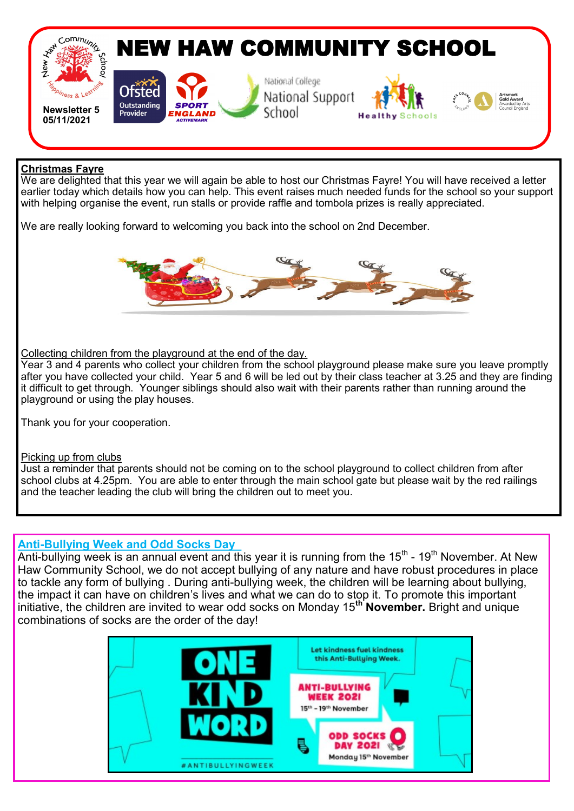

## **Christmas Fayre**

We are delighted that this year we will again be able to host our Christmas Fayre! You will have received a letter earlier today which details how you can help. This event raises much needed funds for the school so your support with helping organise the event, run stalls or provide raffle and tombola prizes is really appreciated.

We are really looking forward to welcoming you back into the school on 2nd December.



## Collecting children from the playground at the end of the day.

Year 3 and 4 parents who collect your children from the school playground please make sure you leave promptly after you have collected your child. Year 5 and 6 will be led out by their class teacher at 3.25 and they are finding it difficult to get through. Younger siblings should also wait with their parents rather than running around the playground or using the play houses.

Thank you for your cooperation.

## Picking up from clubs

Just a reminder that parents should not be coming on to the school playground to collect children from after school clubs at 4.25pm. You are able to enter through the main school gate but please wait by the red railings and the teacher leading the club will bring the children out to meet you.

# **Anti-Bullying Week and Odd Socks Day**

Anti-bullying week is an annual event and this year it is running from the 15 $^{\rm th}$  - 19 $^{\rm th}$  November. At New Haw Community School, we do not accept bullying of any nature and have robust procedures in place to tackle any form of bullying . During anti-bullying week, the children will be learning about bullying, the impact it can have on children's lives and what we can do to stop it. To promote this important initiative, the children are invited to wear odd socks on Monday 15**th November.** Bright and unique combinations of socks are the order of the day!